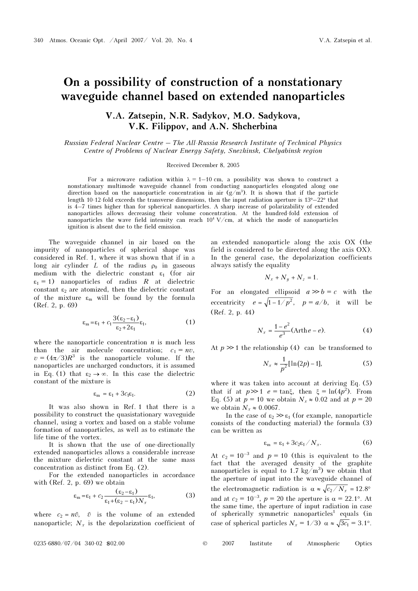## On a possibility of construction of a nonstationary waveguide channel based on extended nanoparticles

## V.A. Zatsepin, N.R. Sadykov, M.O. Sadykova, V.K. Filippov, and A.N. Shcherbina

Russian Federal Nuclear Centre – The All-Russia Research Institute of Technical Physics Centre of Problems of Nuclear Energy Safety, Snezhinsk, Chelyabinsk region

Received December 8, 2005

For a microwave radiation within  $\lambda = 1 - 10$  cm, a possibility was shown to construct a nonstationary multimode waveguide channel from conducting nanoparticles elongated along one direction based on the nanoparticle concentration in air  $(g/m<sup>3</sup>)$ . It is shown that if the particle length 10-12-fold exceeds the transverse dimensions, then the input radiation aperture is 13°–22° that is 4–7 times higher than for spherical nanoparticles. A sharp increase of polarizability of extended nanoparticles allows decreasing their volume concentration. At the hundred-fold extension of nanoparticles the wave field intensity can reach  $10^4$  V/cm, at which the mode of nanoparticles ignition is absent due to the field emission.

The waveguide channel in air based on the impurity of nanoparticles of spherical shape was considered in Ref. 1, where it was shown that if in a long air cylinder L of the radius  $\rho_0$  in gaseous medium with the dielectric constant  $\varepsilon_1$  (for air  $\varepsilon_1 = 1$ ) nanoparticles of radius R at dielectric constant  $\varepsilon_2$  are atomized, then the dielectric constant of the mixture  $\varepsilon_m$  will be found by the formula (Ref. 2, p. 69)

$$
\varepsilon_{\mathbf{m}} = \varepsilon_1 + c_1 \frac{3(\varepsilon_2 - \varepsilon_1)}{\varepsilon_2 + 2\varepsilon_1} \varepsilon_1, \tag{1}
$$

where the nanoparticle concentration  $n$  is much less than the air molecule concentration;  $c_1 = nv$ ,  $v = (4\pi/3)R^3$  is the nanoparticle volume. If the nanoparticles are uncharged conductors, it is assumed in Eq. (1) that  $\varepsilon_2 \to \infty$ . In this case the dielectric constant of the mixture is

$$
\varepsilon_{\mathbf{m}} = \varepsilon_1 + 3c_1\varepsilon_1. \tag{2}
$$

It was also shown in Ref. 1 that there is a possibility to construct the quasistationary waveguide channel, using a vortex and based on a stable volume formation of nanoparticles, as well as to estimate the life time of the vortex.

It is shown that the use of one-directionally extended nanoparticles allows a considerable increase the mixture dielectric constant at the same mass concentration as distinct from Eq. (2).

For the extended nanoparticles in accordance with (Ref. 2, p. 69) we obtain

with (Ref. 2, p. 69) we obtain  
\n
$$
\varepsilon_{\text{m}} = \varepsilon_1 + c_2 \frac{(\varepsilon_2 - \varepsilon_1)}{\varepsilon_1 + (\varepsilon_2 - \varepsilon_1) N_x} \varepsilon_1,
$$
\n(3)  
\nwhere  $c_2 = n\tilde{v}$ ,  $\tilde{v}$  is the volume of an extended

nanoparticle;  $N_x$  is the depolarization coefficient of

an extended nanoparticle along the axis OX (the field is considered to be directed along the axis OX). In the general case, the depolarization coefficients always satisfy the equality

$$
N_x + N_y + N_z = 1.
$$

For an elongated ellipsoid  $a \gg b = c$  with the eccentricity  $e = \sqrt{1 - 1/p^2}$ ,  $p = a/b$ , it will be (Ref. 2, p. 44)

$$
N_x = \frac{1 - e^2}{e^3} (\text{Arth } e - e). \tag{4}
$$

At  $p \gg 1$  the relationship (4) can be transformed to

$$
N_x \approx \frac{1}{p^2} [\ln(2p) - 1],
$$
 (5)

where it was taken into account at deriving Eq. (5) that if at  $p \gg 1$   $e = \tan \xi$ , then  $\xi = \ln(4p^2)$ . From Eq. (5) at  $p = 10$  we obtain  $N_r \approx 0.02$  and at  $p = 20$ we obtain  $N_x \approx 0.0067$ .

In the case of  $\varepsilon_2 \gg \varepsilon_1$  (for example, nanoparticle consists of the conducting material) the formula (3) can be written as

$$
\varepsilon_{\rm m} = \varepsilon_1 + 3c_2\varepsilon_1/N_x. \tag{6}
$$

At  $c_2 = 10^{-3}$  and  $p = 10$  (this is equivalent to the fact that the averaged density of the graphite nanoparticles is equal to 1.7 kg/m<sup>3</sup>) we obtain that the aperture of input into the waveguide channel of the electromagnetic radiation is  $\alpha \approx \sqrt{c_2/N_x} = 12.8^\circ$ and at  $c_2 = 10^{-3}$ ,  $p = 20$  the aperture is  $\alpha = 22.1^{\circ}$ . At the same time, the aperture of input radiation in case of spherically symmetric nanoparticles<sup>1</sup> equals (in case of spherical particles  $N_x = 1/3$ )  $\alpha \approx \sqrt{3c_1} = 3.1^{\circ}$ .

| $\odot$ | 2007 | Institute | Atmospheric | Optics |
|---------|------|-----------|-------------|--------|
|         |      |           |             |        |